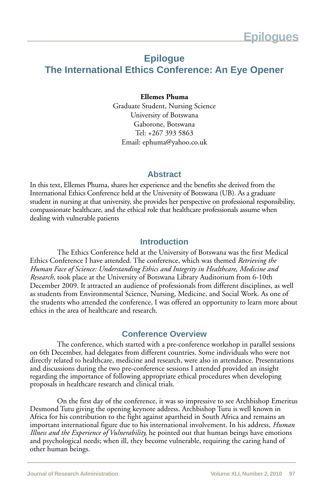# **Epilogue**

## **The International Ethics Conference: An Eye Opener**

#### **Ellemes Phuma**

Graduate Student, Nursing Science University of Botswana Gaborone, Botswana Tel: +267 393 5863 Email: ephuma@yahoo.co.uk

#### **Abstract**

In this text, Ellemes Phuma, shares her experience and the benefits she derived from the International Ethics Conference held at the University of Botswana (UB). As a graduate student in nursing at that university, she provides her perspective on professional responsibility, compassionate healthcare, and the ethical role that healthcare professionals assume when dealing with vulnerable patients

#### **Introduction**

The Ethics Conference held at the University of Botswana was the first Medical Ethics Conference I have attended. The conference, which was themed *Retrieving the Human Face of Science: Understanding Ethics and Integrity in Healthcare, Medicine and Research,* took place at the University of Botswana Library Auditorium from 6-10th December 2009. It attracted an audience of professionals from different disciplines, as well as students from Environmental Science, Nursing, Medicine, and Social Work. As one of the students who attended the conference, I was offered an opportunity to learn more about ethics in the area of healthcare and research.

## **Conference Overview**

The conference, which started with a pre-conference workshop in parallel sessions on 6th December, had delegates from different countries. Some individuals who were not directly related to healthcare, medicine and research, were also in attendance. Presentations and discussions during the two pre-conference sessions I attended provided an insight regarding the importance of following appropriate ethical procedures when developing proposals in healthcare research and clinical trials.

On the first day of the conference, it was so impressive to see Archbishop Emeritus Desmond Tutu giving the opening keynote address. Archbishop Tutu is well known in Africa for his contribution to the fight against apartheid in South Africa and remains an important international figure due to his international involvement. In his address, *Human Illness and the Experience of Vulnerability,* he pointed out that human beings have emotions and psychological needs; when ill, they become vulnerable, requiring the caring hand of other human beings.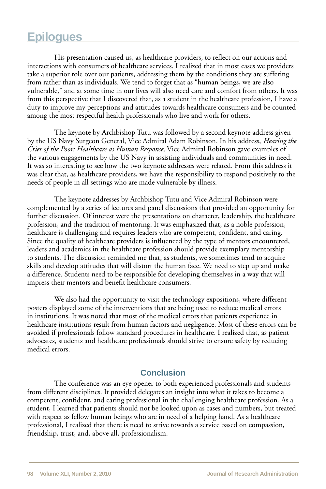# **Epilogues**

His presentation caused us, as healthcare providers, to reflect on our actions and interactions with consumers of healthcare services. I realized that in most cases we providers take a superior role over our patients, addressing them by the conditions they are suffering from rather than as individuals. We tend to forget that as "human beings, we are also vulnerable," and at some time in our lives will also need care and comfort from others. It was from this perspective that I discovered that, as a student in the healthcare profession, I have a duty to improve my perceptions and attitudes towards healthcare consumers and be counted among the most respectful health professionals who live and work for others.

The keynote by Archbishop Tutu was followed by a second keynote address given by the US Navy Surgeon General, Vice Admiral Adam Robinson. In his address, *Hearing the Cries of the Poor: Healthcare as Human Response,* Vice Admiral Robinson gave examples of the various engagements by the US Navy in assisting individuals and communities in need. It was so interesting to see how the two keynote addresses were related. From this address it was clear that, as healthcare providers, we have the responsibility to respond positively to the needs of people in all settings who are made vulnerable by illness.

The keynote addresses by Archbishop Tutu and Vice Admiral Robinson were complemented by a series of lectures and panel discussions that provided an opportunity for further discussion. Of interest were the presentations on character, leadership, the healthcare profession, and the tradition of mentoring. It was emphasized that, as a noble profession, healthcare is challenging and requires leaders who are competent, confident, and caring. Since the quality of healthcare providers is influenced by the type of mentors encountered, leaders and academics in the healthcare profession should provide exemplary mentorship to students. The discussion reminded me that, as students, we sometimes tend to acquire skills and develop attitudes that will distort the human face. We need to step up and make a difference. Students need to be responsible for developing themselves in a way that will impress their mentors and benefit healthcare consumers.

We also had the opportunity to visit the technology expositions, where different posters displayed some of the interventions that are being used to reduce medical errors in institutions. It was noted that most of the medical errors that patients experience in healthcare institutions result from human factors and negligence. Most of these errors can be avoided if professionals follow standard procedures in healthcare. I realized that, as patient advocates, students and healthcare professionals should strive to ensure safety by reducing medical errors.

## **Conclusion**

The conference was an eye opener to both experienced professionals and students from different disciplines. It provided delegates an insight into what it takes to become a competent, confident, and caring professional in the challenging healthcare profession. As a student, I learned that patients should not be looked upon as cases and numbers, but treated with respect as fellow human beings who are in need of a helping hand. As a healthcare professional, I realized that there is need to strive towards a service based on compassion, friendship, trust, and, above all, professionalism.